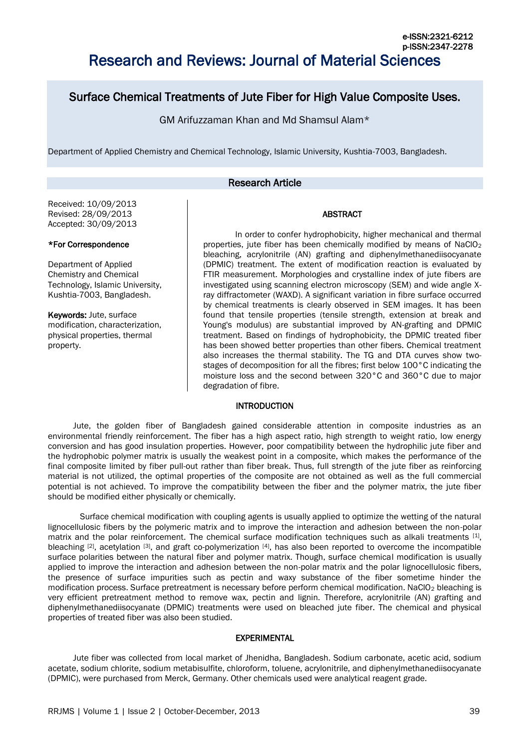# Surface Chemical Treatments of Jute Fiber for High Value Composite Uses.

GM Arifuzzaman Khan and Md Shamsul Alam\*

Department of Applied Chemistry and Chemical Technology, Islamic University, Kushtia-7003, Bangladesh.

# Research Article

Received: 10/09/2013 Revised: 28/09/2013 Accepted: 30/09/2013

## \*For Correspondence

Department of Applied Chemistry and Chemical Technology, Islamic University, Kushtia-7003, Bangladesh.

Keywords: Jute, surface modification, characterization, physical properties, thermal property.

In order to confer hydrophobicity, higher mechanical and thermal properties, jute fiber has been chemically modified by means of NaClO<sub>2</sub> bleaching, acrylonitrile (AN) grafting and diphenylmethanediisocyanate (DPMIC) treatment. The extent of modification reaction is evaluated by FTIR measurement. Morphologies and crystalline index of jute fibers are investigated using scanning electron microscopy (SEM) and wide angle Xray diffractometer (WAXD). A significant variation in fibre surface occurred by chemical treatments is clearly observed in SEM images. It has been found that tensile properties (tensile strength, extension at break and Young's modulus) are substantial improved by AN-grafting and DPMIC treatment. Based on findings of hydrophobicity, the DPMIC treated fiber has been showed better properties than other fibers. Chemical treatment also increases the thermal stability. The TG and DTA curves show twostages of decomposition for all the fibres; first below 100°C indicating the moisture loss and the second between 320°C and 360°C due to major degradation of fibre.

ABSTRACT

## INTRODUCTION

Jute, the golden fiber of Bangladesh gained considerable attention in composite industries as an environmental friendly reinforcement. The fiber has a high aspect ratio, high strength to weight ratio, low energy conversion and has good insulation properties. However, poor compatibility between the hydrophilic jute fiber and the hydrophobic polymer matrix is usually the weakest point in a composite, which makes the performance of the final composite limited by fiber pull-out rather than fiber break. Thus, full strength of the jute fiber as reinforcing material is not utilized, the optimal properties of the composite are not obtained as well as the full commercial potential is not achieved. To improve the compatibility between the fiber and the polymer matrix, the jute fiber should be modified either physically or chemically.

Surface chemical modification with coupling agents is usually applied to optimize the wetting of the natural lignocellulosic fibers by the polymeric matrix and to improve the interaction and adhesion between the non-polar matrix and the polar reinforcement. The chemical surface modification techniques such as alkali treatments [1], bleaching <sup>[2]</sup>, acetylation <sup>[3]</sup>, and graft co-polymerization <sup>[4]</sup>, has also been reported to overcome the incompatible surface polarities between the natural fiber and polymer matrix. Though, surface chemical modification is usually applied to improve the interaction and adhesion between the non-polar matrix and the polar lignocellulosic fibers, the presence of surface impurities such as pectin and waxy substance of the fiber sometime hinder the modification process. Surface pretreatment is necessary before perform chemical modification. NaClO<sub>2</sub> bleaching is very efficient pretreatment method to remove wax, pectin and lignin. Therefore, acrylonitrile (AN) grafting and diphenylmethanediisocyanate (DPMIC) treatments were used on bleached jute fiber. The chemical and physical properties of treated fiber was also been studied.

# EXPERIMENTAL

Jute fiber was collected from local market of Jhenidha, Bangladesh. Sodium carbonate, acetic acid, sodium acetate, sodium chlorite, sodium metabisulfite, chloroform, toluene, acrylonitrile, and diphenylmethanediisocyanate (DPMIC), were purchased from Merck, Germany. Other chemicals used were analytical reagent grade.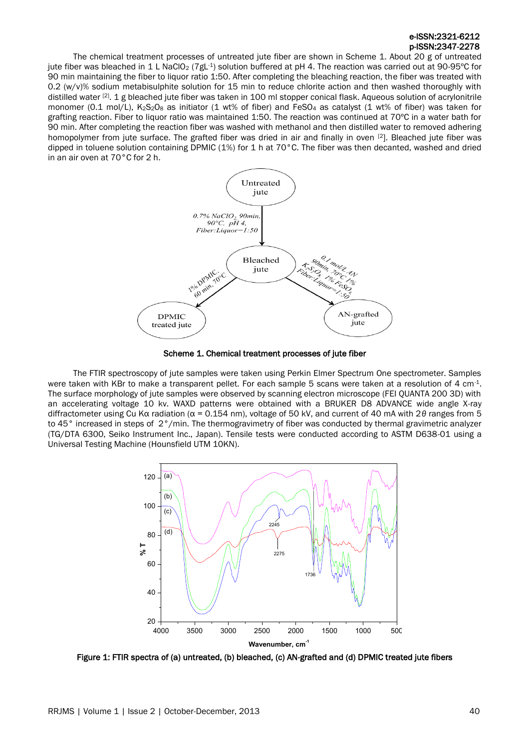## e-ISSN:2321-6212 p-ISSN:2347-2278

The chemical treatment processes of untreated jute fiber are shown in Scheme 1. About 20 g of untreated jute fiber was bleached in 1 L NaClO<sub>2</sub> (7gL<sup>-1</sup>) solution buffered at pH 4. The reaction was carried out at 90-95°C for 90 min maintaining the fiber to liquor ratio 1:50. After completing the bleaching reaction, the fiber was treated with 0.2  $(w/v)$ % sodium metabisulphite solution for 15 min to reduce chlorite action and then washed thoroughly with distilled water <sup>[2]</sup>. 1 g bleached jute fiber was taken in 100 ml stopper conical flask. Aqueous solution of acrylonitrile monomer (0.1 mol/L), K<sub>2</sub>S<sub>2</sub>O<sub>8</sub> as initiator (1 wt% of fiber) and FeSO<sub>4</sub> as catalyst (1 wt% of fiber) was taken for grafting reaction. Fiber to liquor ratio was maintained 1:50. The reaction was continued at 70ºC in a water bath for 90 min. After completing the reaction fiber was washed with methanol and then distilled water to removed adhering homopolymer from jute surface. The grafted fiber was dried in air and finally in oven [2]. Bleached jute fiber was dipped in toluene solution containing DPMIC (1%) for 1 h at 70°C. The fiber was then decanted, washed and dried in an air oven at 70°C for 2 h.



Scheme 1. Chemical treatment processes of jute fiber

The FTIR spectroscopy of jute samples were taken using Perkin Elmer Spectrum One spectrometer. Samples were taken with KBr to make a transparent pellet. For each sample 5 scans were taken at a resolution of 4 cm<sup>-1</sup>. The surface morphology of jute samples were observed by scanning electron microscope (FEI QUANTA 200 3D) with an accelerating voltage 10 kv. WAXD patterns were obtained with a BRUKER D8 ADVANCE wide angle X-ray diffractometer using Cu Kα radiation (α = 0.154 nm), voltage of 50 kV, and current of 40 mA with 2*θ* ranges from 5 to 45° increased in steps of 2°/min. The thermogravimetry of fiber was conducted by thermal gravimetric analyzer (TG/DTA 6300, Seiko Instrument Inc., Japan). Tensile tests were conducted according to ASTM D638-01 using a Universal Testing Machine (Hounsfield UTM 10KN).



Figure 1: FTIR spectra of (a) untreated, (b) bleached, (c) AN-grafted and (d) DPMIC treated jute fibers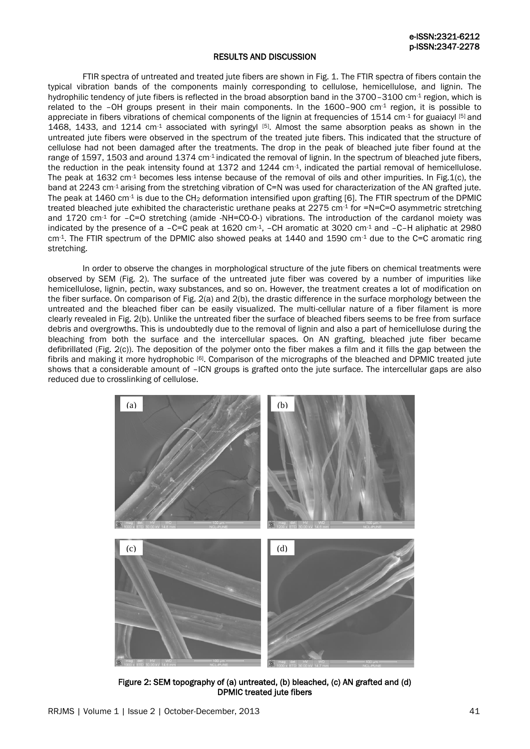#### RESULTS AND DISCUSSION

FTIR spectra of untreated and treated jute fibers are shown in Fig. 1. The FTIR spectra of fibers contain the typical vibration bands of the components mainly corresponding to cellulose, hemicellulose, and lignin. The hydrophilic tendency of jute fibers is reflected in the broad absorption band in the 3700–3100 cm<sup>-1</sup> region, which is related to the –OH groups present in their main components. In the 1600–900 cm-1 region, it is possible to appreciate in fibers vibrations of chemical components of the lignin at frequencies of 1514 cm<sup>-1</sup> for guaiacyl  $[5]$  and 1468, 1433, and 1214 cm $-1$  associated with syringyl  $[5]$ . Almost the same absorption peaks as shown in the untreated jute fibers were observed in the spectrum of the treated jute fibers. This indicated that the structure of cellulose had not been damaged after the treatments. The drop in the peak of bleached jute fiber found at the range of 1597, 1503 and around 1374 cm<sup>-1</sup> indicated the removal of lignin. In the spectrum of bleached jute fibers, the reduction in the peak intensity found at 1372 and 1244  $cm<sup>-1</sup>$ , indicated the partial removal of hemicellulose. The peak at  $1632 \text{ cm}$ <sup>1</sup> becomes less intense because of the removal of oils and other impurities. In Fig.1(c), the band at 2243 cm<sup>-1</sup> arising from the stretching vibration of C=N was used for characterization of the AN grafted jute. The peak at 1460 cm<sup>-1</sup> is due to the CH<sub>2</sub> deformation intensified upon grafting [6]. The FTIR spectrum of the DPMIC treated bleached jute exhibited the characteristic urethane peaks at  $2275$  cm<sup>-1</sup> for =N=C=O asymmetric stretching and 1720 cm<sup>-1</sup> for -C=O stretching (amide -NH=CO-O-) vibrations. The introduction of the cardanol moiety was indicated by the presence of a -C=C peak at 1620 cm-1, -CH aromatic at 3020 cm-1 and -C-H aliphatic at 2980 cm<sup>-1</sup>. The FTIR spectrum of the DPMIC also showed peaks at 1440 and 1590 cm<sup>-1</sup> due to the C=C aromatic ring stretching.

In order to observe the changes in morphological structure of the jute fibers on chemical treatments were observed by SEM (Fig. 2). The surface of the untreated jute fiber was covered by a number of impurities like hemicellulose, lignin, pectin, waxy substances, and so on. However, the treatment creates a lot of modification on the fiber surface. On comparison of Fig. 2(a) and 2(b), the drastic difference in the surface morphology between the untreated and the bleached fiber can be easily visualized. The multi-cellular nature of a fiber filament is more clearly revealed in Fig. 2(b). Unlike the untreated fiber the surface of bleached fibers seems to be free from surface debris and overgrowths. This is undoubtedly due to the removal of lignin and also a part of hemicellulose during the bleaching from both the surface and the intercellular spaces. On AN grafting, bleached jute fiber became defibrillated (Fig. 2(c)). The deposition of the polymer onto the fiber makes a film and it fills the gap between the fibrils and making it more hydrophobic [6]. Comparison of the micrographs of the bleached and DPMIC treated jute shows that a considerable amount of –ICN groups is grafted onto the jute surface. The intercellular gaps are also reduced due to crosslinking of cellulose.



Figure 2: SEM topography of (a) untreated, (b) bleached, (c) AN grafted and (d) DPMIC treated jute fibers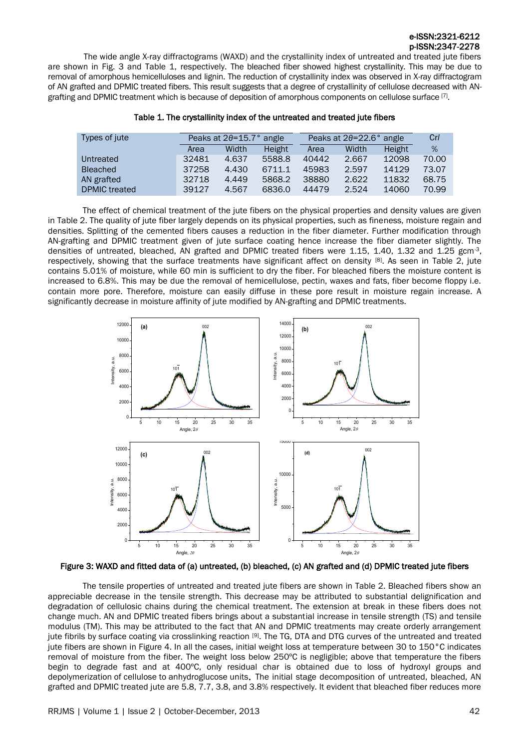# e-ISSN:2321-6212 p-ISSN:2347-2278

 The wide angle X-ray diffractograms (WAXD) and the crystallinity index of untreated and treated jute fibers are shown in Fig. 3 and Table 1, respectively. The bleached fiber showed highest crystallinity. This may be due to removal of amorphous hemicelluloses and lignin. The reduction of crystallinity index was observed in X-ray diffractogram of AN grafted and DPMIC treated fibers. This result suggests that a degree of crystallinity of cellulose decreased with ANgrafting and DPMIC treatment which is because of deposition of amorphous components on cellulose surface [7].

| Types of jute        |       | Peaks at $2\theta = 15.7$ ° angle |        |       | Peaks at 20=22.6° angle |        | Cr/   |
|----------------------|-------|-----------------------------------|--------|-------|-------------------------|--------|-------|
|                      | Area  | Width                             | Height | Area  | Width                   | Height | $\%$  |
| Untreated            | 32481 | 4.637                             | 5588.8 | 40442 | 2.667                   | 12098  | 70.00 |
| <b>Bleached</b>      | 37258 | 4.430                             | 6711.1 | 45983 | 2.597                   | 14129  | 73.07 |
| AN grafted           | 32718 | 4.449                             | 5868.2 | 38880 | 2.622                   | 11832  | 68.75 |
| <b>DPMIC</b> treated | 39127 | 4.567                             | 6836.0 | 44479 | 2.524                   | 14060  | 70.99 |

#### Table 1. The crystallinity index of the untreated and treated jute fibers

The effect of chemical treatment of the jute fibers on the physical properties and density values are given in Table 2. The quality of jute fiber largely depends on its physical properties, such as fineness, moisture regain and densities. Splitting of the cemented fibers causes a reduction in the fiber diameter. Further modification through AN-grafting and DPMIC treatment given of jute surface coating hence increase the fiber diameter slightly. The densities of untreated, bleached, AN grafted and DPMIC treated fibers were 1.15, 1.40, 1.32 and 1.25 gcm<sup>-3</sup>, respectively, showing that the surface treatments have significant affect on density [8]. As seen in Table 2, jute contains 5.01% of moisture, while 60 min is sufficient to dry the fiber. For bleached fibers the moisture content is increased to 6.8%. This may be due the removal of hemicellulose, pectin, waxes and fats, fiber become floppy i.e. contain more pore. Therefore, moisture can easily diffuse in these pore result in moisture regain increase. A significantly decrease in moisture affinity of jute modified by AN-grafting and DPMIC treatments.



#### Figure 3: WAXD and fitted data of (a) untreated, (b) bleached, (c) AN grafted and (d) DPMIC treated jute fibers

The tensile properties of untreated and treated jute fibers are shown in Table 2. Bleached fibers show an appreciable decrease in the tensile strength. This decrease may be attributed to substantial delignification and degradation of cellulosic chains during the chemical treatment. The extension at break in these fibers does not change much. AN and DPMIC treated fibers brings about a substantial increase in tensile strength (TS) and tensile modulus (TM). This may be attributed to the fact that AN and DPMIC treatments may create orderly arrangement jute fibrils by surface coating via crosslinking reaction [9]. The TG, DTA and DTG curves of the untreated and treated jute fibers are shown in Figure 4. In all the cases, initial weight loss at temperature between 30 to 150°C indicates removal of moisture from the fiber. The weight loss below 250ºC is negligible; above that temperature the fibers begin to degrade fast and at 400°C, only residual char is obtained due to loss of hydroxyl groups and depolymerization of cellulose to anhydroglucose units. The initial stage decomposition of untreated, bleached, AN grafted and DPMIC treated jute are 5.8, 7.7, 3.8, and 3.8% respectively. It evident that bleached fiber reduces more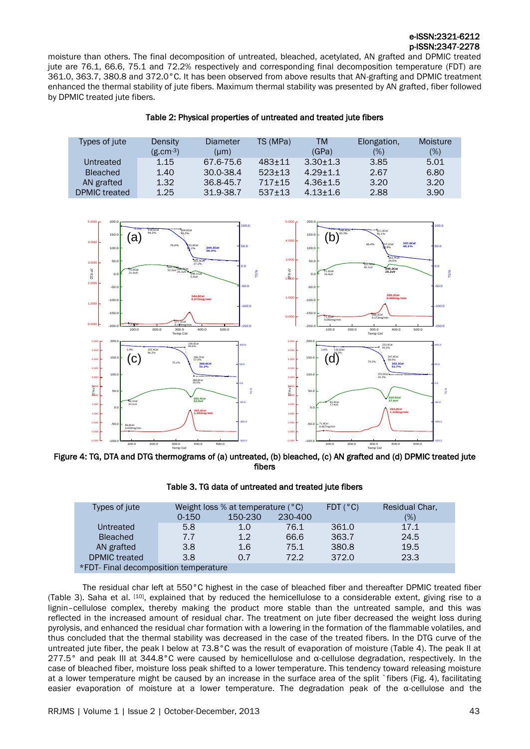# e-ISSN:2321-6212 p-ISSN:2347-2278

moisture than others. The final decomposition of untreated, bleached, acetylated, AN grafted and DPMIC treated jute are 76.1, 66.6, 75.1 and 72.2% respectively and corresponding final decomposition temperature (FDT) are 361.0, 363.7, 380.8 and 372.0°C. It has been observed from above results that AN-grafting and DPMIC treatment enhanced the thermal stability of jute fibers. Maximum thermal stability was presented by AN grafted, fiber followed by DPMIC treated jute fibers.

| Types of jute   | Density       | Diameter      | TS (MPa) | TM           | Elongation, | Moisture |
|-----------------|---------------|---------------|----------|--------------|-------------|----------|
|                 | $(g.cm^{-3})$ | (lum)         |          | (GPa)        | $(\%)$      | $(\%)$   |
| Untreated       | 1.15          | 67.6-75.6     | $483+11$ | $3.30 + 1.3$ | 3.85        | 5.01     |
| <b>Bleached</b> | 1.40          | $30.0 - 38.4$ | $523+13$ | $4.29 + 1.1$ | 2.67        | 6.80     |
| AN grafted      | 1.32          | 36.8-45.7     | $717+15$ | $4.36 + 1.5$ | 3.20        | 3.20     |
| DPMIC treated   | 1.25          | 31.9-38.7     | $537+13$ | $4.13 + 1.6$ | 2.88        | 3.90     |



Figure 4: TG, DTA and DTG thermograms of (a) untreated, (b) bleached, (c) AN grafted and (d) DPMIC treated jute fibers

|  |  | Table 3. TG data of untreated and treated jute fibers |  |  |
|--|--|-------------------------------------------------------|--|--|
|--|--|-------------------------------------------------------|--|--|

| Types of jute                         |           | Weight loss % at temperature $(°C)$ | $FDT$ ( $°C$ ) | Residual Char. |      |
|---------------------------------------|-----------|-------------------------------------|----------------|----------------|------|
|                                       | $0 - 150$ | 150-230                             | 230-400        |                | (%)  |
| Untreated                             | 5.8       | 1.0                                 | 76.1           | 361.0          | 17.1 |
| <b>Bleached</b>                       | 7.7       | 1.2                                 | 66.6           | 363.7          | 24.5 |
| AN grafted                            | 3.8       | 1.6                                 | 75.1           | 380.8          | 19.5 |
| <b>DPMIC</b> treated                  | 3.8       | 0.7                                 | 72.2           | 372.0          | 23.3 |
| *FDT- Final decomposition temperature |           |                                     |                |                |      |

The residual char left at 550°C highest in the case of bleached fiber and thereafter DPMIC treated fiber (Table 3). Saha et al. [10], explained that by reduced the hemicellulose to a considerable extent, giving rise to a lignin–cellulose complex, thereby making the product more stable than the untreated sample, and this was reflected in the increased amount of residual char. The treatment on jute fiber decreased the weight loss during pyrolysis, and enhanced the residual char formation with a lowering in the formation of the flammable volatiles, and thus concluded that the thermal stability was decreased in the case of the treated fibers. In the DTG curve of the untreated jute fiber, the peak I below at 73.8°C was the result of evaporation of moisture (Table 4). The peak II at 277.5° and peak III at 344.8°C were caused by hemicellulose and α-cellulose degradation, respectively. In the case of bleached fiber, moisture loss peak shifted to a lower temperature. This tendency toward releasing moisture at a lower temperature might be caused by an increase in the surface area of the split `fibers (Fig. 4), facilitating easier evaporation of moisture at a lower temperature. The degradation peak of the  $\alpha$ -cellulose and the